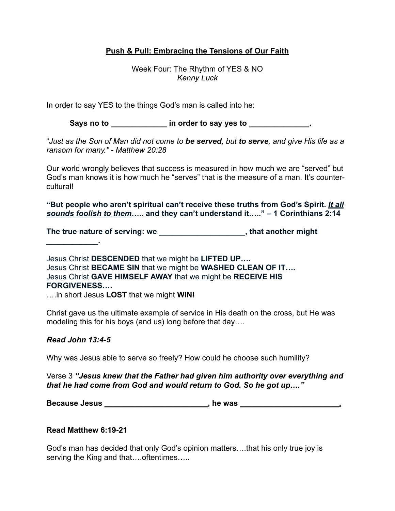## **Push & Pull: Embracing the Tensions of Our Faith**

Week Four: The Rhythm of YES & NO *Kenny Luck*

In order to say YES to the things God's man is called into he:

Says no to **way in order to say yes to say set our contract of the say of the say of the say of the say set of the say of the say set of the say set of the say set of the say set of the say set of the say set of the say se** 

"*Just as the Son of Man did not come to be served, but to serve, and give His life as a ransom for many." - Matthew 20:28*

Our world wrongly believes that success is measured in how much we are "served" but God's man knows it is how much he "serves" that is the measure of a man. It's countercultural!

**"But people who aren't spiritual can't receive these truths from God's Spirit.** *It all sounds foolish to them***….. and they can't understand it….." – 1 Corinthians 2:14**

**The true nature of serving: we \_\_\_\_\_\_\_\_\_\_\_\_\_\_\_\_\_\_\_\_, that another might** 

Jesus Christ **DESCENDED** that we might be **LIFTED UP….** Jesus Christ **BECAME SIN** that we might be **WASHED CLEAN OF IT….** Jesus Christ **GAVE HIMSELF AWAY** that we might be **RECEIVE HIS FORGIVENESS….**

….in short Jesus **LOST** that we might **WIN!**

Christ gave us the ultimate example of service in His death on the cross, but He was modeling this for his boys (and us) long before that day….

## *Read John 13:4-5*

**\_\_\_\_\_\_\_\_\_\_\_\_.**

Why was Jesus able to serve so freely? How could he choose such humility?

Verse 3 *"Jesus knew that the Father had given him authority over everything and that he had come from God and would return to God. So he got up…."* 

**Because Jesus \_\_\_\_\_\_\_\_\_\_\_\_\_\_\_\_\_\_\_\_\_\_\_\_, he was \_\_\_\_\_\_\_\_\_\_\_\_\_\_\_\_\_\_\_\_\_\_\_.**

## **Read Matthew 6:19-21**

God's man has decided that only God's opinion matters….that his only true joy is serving the King and that....oftentimes.....